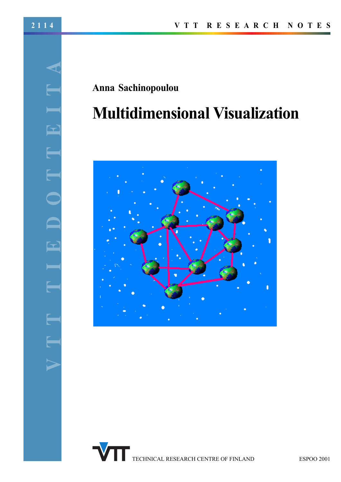# **Anna† Sachinopoulou**

# **Multidimensional†Visualization**



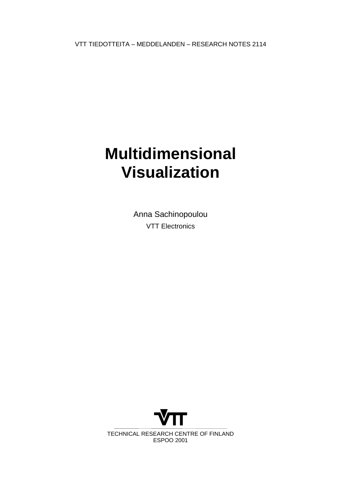VTT TIEDOTTEITA – MEDDELANDEN – RESEARCH NOTES 2114

# **Multidimensional Visualization**

Anna Sachinopoulou VTT Electronics

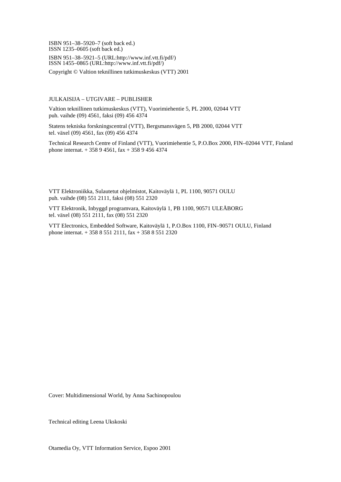ISBN 951–38–5920–7 (soft back ed.) ISSN 1235–0605 (soft back ed.) ISBN 951–38–5921–5 (URL:http://www.inf.vtt.fi/pdf/) ISSN 1455–0865 (URL:http://www.inf.vtt.fi/pdf/)

Copyright © Valtion teknillinen tutkimuskeskus (VTT) 2001

#### JULKAISIJA – UTGIVARE – PUBLISHER

Valtion teknillinen tutkimuskeskus (VTT), Vuorimiehentie 5, PL 2000, 02044 VTT puh. vaihde (09) 4561, faksi (09) 456 4374

Statens tekniska forskningscentral (VTT), Bergsmansvägen 5, PB 2000, 02044 VTT tel. växel (09) 4561, fax (09) 456 4374

Technical Research Centre of Finland (VTT), Vuorimiehentie 5, P.O.Box 2000, FIN–02044 VTT, Finland phone internat. + 358 9 4561, fax + 358 9 456 4374

VTT Elektroniikka, Sulautetut ohjelmistot, Kaitoväylä 1, PL 1100, 90571 OULU puh. vaihde (08) 551 2111, faksi (08) 551 2320

VTT Elektronik, Inbyggd programvara, Kaitoväylä 1, PB 1100, 90571 ULEÅBORG tel. växel (08) 551 2111, fax (08) 551 2320

VTT Electronics, Embedded Software, Kaitoväylä 1, P.O.Box 1100, FIN–90571 OULU, Finland phone internat. + 358 8 551 2111, fax + 358 8 551 2320

Cover: Multidimensional World, by Anna Sachinopoulou

Technical editing Leena Ukskoski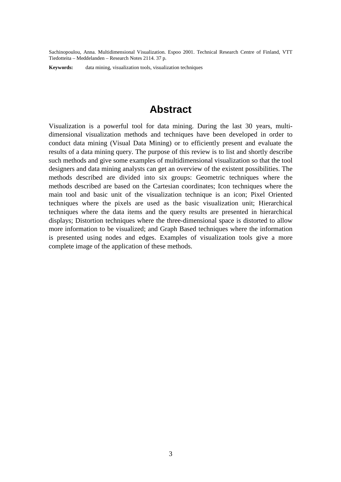Sachinopoulou, Anna. Multidimensional Visualization. Espoo 2001. Technical Research Centre of Finland, VTT Tiedotteita – Meddelanden – Research Notes 2114. 37 p.

**Keywords:** data mining, visualization tools, visualization techniques

# **Abstract**

Visualization is a powerful tool for data mining. During the last 30 years, multidimensional visualization methods and techniques have been developed in order to conduct data mining (Visual Data Mining) or to efficiently present and evaluate the results of a data mining query. The purpose of this review is to list and shortly describe such methods and give some examples of multidimensional visualization so that the tool designers and data mining analysts can get an overview of the existent possibilities. The methods described are divided into six groups: Geometric techniques where the methods described are based on the Cartesian coordinates; Icon techniques where the main tool and basic unit of the visualization technique is an icon; Pixel Oriented techniques where the pixels are used as the basic visualization unit; Hierarchical techniques where the data items and the query results are presented in hierarchical displays; Distortion techniques where the three-dimensional space is distorted to allow more information to be visualized; and Graph Based techniques where the information is presented using nodes and edges. Examples of visualization tools give a more complete image of the application of these methods.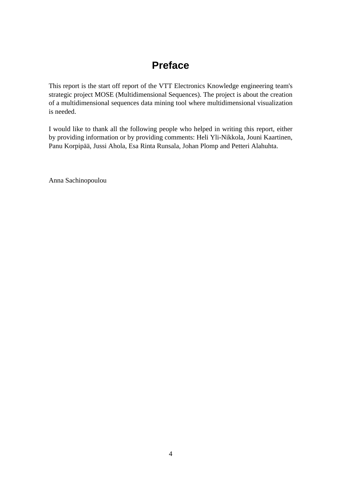# **Preface**

This report is the start off report of the VTT Electronics Knowledge engineering team's strategic project MOSE (Multidimensional Sequences). The project is about the creation of a multidimensional sequences data mining tool where multidimensional visualization is needed.

I would like to thank all the following people who helped in writing this report, either by providing information or by providing comments: Heli Yli-Nikkola, Jouni Kaartinen, Panu Korpipää, Jussi Ahola, Esa Rinta Runsala, Johan Plomp and Petteri Alahuhta.

Anna Sachinopoulou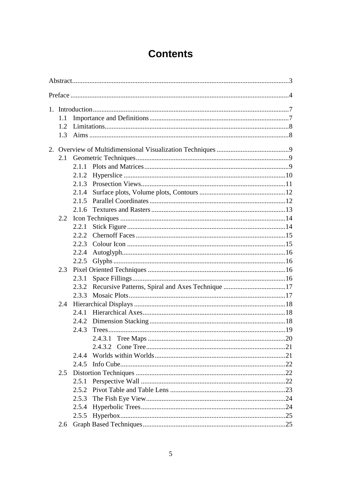# **Contents**

|    | 1.1           |       |  |     |  |  |  |  |
|----|---------------|-------|--|-----|--|--|--|--|
|    | $1.2^{\circ}$ |       |  |     |  |  |  |  |
|    | 1.3           |       |  |     |  |  |  |  |
|    |               |       |  |     |  |  |  |  |
| 2. |               |       |  |     |  |  |  |  |
|    | 2.1           |       |  |     |  |  |  |  |
|    |               |       |  |     |  |  |  |  |
|    |               | 2.1.2 |  |     |  |  |  |  |
|    |               | 2.1.3 |  |     |  |  |  |  |
|    |               | 2.1.4 |  |     |  |  |  |  |
|    |               | 2.1.5 |  |     |  |  |  |  |
|    |               | 2.1.6 |  |     |  |  |  |  |
|    | 2.2           |       |  |     |  |  |  |  |
|    |               | 2.2.1 |  |     |  |  |  |  |
|    |               | 2.2.2 |  |     |  |  |  |  |
|    |               | 2.2.3 |  |     |  |  |  |  |
|    |               | 2.2.4 |  |     |  |  |  |  |
|    |               | 2.2.5 |  |     |  |  |  |  |
|    | 2.3           |       |  |     |  |  |  |  |
|    |               | 2.3.1 |  |     |  |  |  |  |
|    |               | 2.3.2 |  |     |  |  |  |  |
|    |               | 2.3.3 |  |     |  |  |  |  |
|    | 2.4           |       |  |     |  |  |  |  |
|    |               | 2.4.1 |  |     |  |  |  |  |
|    |               | 2.4.2 |  |     |  |  |  |  |
|    |               | 2.4.3 |  |     |  |  |  |  |
|    |               |       |  | .20 |  |  |  |  |
|    |               |       |  |     |  |  |  |  |
|    |               | 2.4.4 |  |     |  |  |  |  |
|    |               | 2.4.5 |  |     |  |  |  |  |
|    | 2.5           |       |  |     |  |  |  |  |
|    |               | 2.5.1 |  |     |  |  |  |  |
|    |               |       |  |     |  |  |  |  |
|    |               | 2.5.3 |  |     |  |  |  |  |
|    |               | 2.5.4 |  |     |  |  |  |  |
|    |               | 2.5.5 |  |     |  |  |  |  |
|    | 2.6           |       |  |     |  |  |  |  |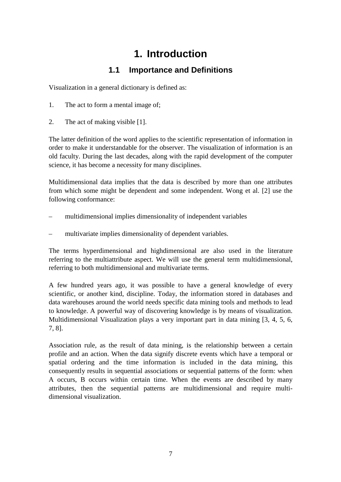# **1. Introduction**

# **1.1 Importance and Definitions**

Visualization in a general dictionary is defined as:

- 1. The act to form a mental image of;
- 2. The act of making visible [1].

The latter definition of the word applies to the scientific representation of information in order to make it understandable for the observer. The visualization of information is an old faculty. During the last decades, along with the rapid development of the computer science, it has become a necessity for many disciplines.

Multidimensional data implies that the data is described by more than one attributes from which some might be dependent and some independent. Wong et al. [2] use the following conformance:

- multidimensional implies dimensionality of independent variables
- multivariate implies dimensionality of dependent variables.

The terms hyperdimensional and highdimensional are also used in the literature referring to the multiattribute aspect. We will use the general term multidimensional, referring to both multidimensional and multivariate terms.

A few hundred years ago, it was possible to have a general knowledge of every scientific, or another kind, discipline. Today, the information stored in databases and data warehouses around the world needs specific data mining tools and methods to lead to knowledge. A powerful way of discovering knowledge is by means of visualization. Multidimensional Visualization plays a very important part in data mining [3, 4, 5, 6, 7, 8].

Association rule, as the result of data mining, is the relationship between a certain profile and an action. When the data signify discrete events which have a temporal or spatial ordering and the time information is included in the data mining, this consequently results in sequential associations or sequential patterns of the form: when A occurs, B occurs within certain time. When the events are described by many attributes, then the sequential patterns are multidimensional and require multidimensional visualization.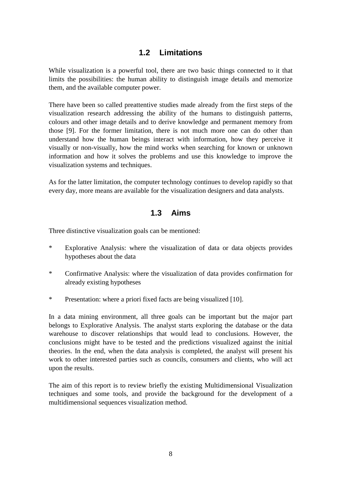### **1.2 Limitations**

While visualization is a powerful tool, there are two basic things connected to it that limits the possibilities: the human ability to distinguish image details and memorize them, and the available computer power.

There have been so called preattentive studies made already from the first steps of the visualization research addressing the ability of the humans to distinguish patterns, colours and other image details and to derive knowledge and permanent memory from those [9]. For the former limitation, there is not much more one can do other than understand how the human beings interact with information, how they perceive it visually or non-visually, how the mind works when searching for known or unknown information and how it solves the problems and use this knowledge to improve the visualization systems and techniques.

As for the latter limitation, the computer technology continues to develop rapidly so that every day, more means are available for the visualization designers and data analysts.

## **1.3 Aims**

Three distinctive visualization goals can be mentioned:

- \* Explorative Analysis: where the visualization of data or data objects provides hypotheses about the data
- \* Confirmative Analysis: where the visualization of data provides confirmation for already existing hypotheses
- \* Presentation: where a priori fixed facts are being visualized [10].

In a data mining environment, all three goals can be important but the major part belongs to Explorative Analysis. The analyst starts exploring the database or the data warehouse to discover relationships that would lead to conclusions. However, the conclusions might have to be tested and the predictions visualized against the initial theories. In the end, when the data analysis is completed, the analyst will present his work to other interested parties such as councils, consumers and clients, who will act upon the results.

The aim of this report is to review briefly the existing Multidimensional Visualization techniques and some tools, and provide the background for the development of a multidimensional sequences visualization method.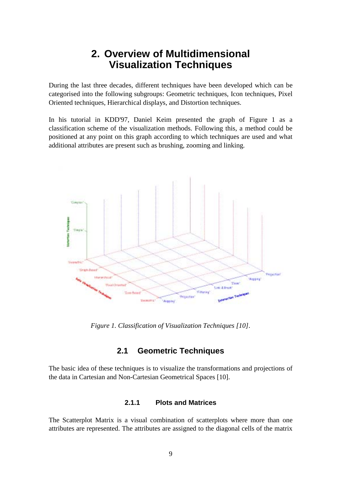# **2. Overview of Multidimensional Visualization Techniques**

During the last three decades, different techniques have been developed which can be categorised into the following subgroups: Geometric techniques, Icon techniques, Pixel Oriented techniques, Hierarchical displays, and Distortion techniques.

In his tutorial in KDD'97, Daniel Keim presented the graph of Figure 1 as a classification scheme of the visualization methods. Following this, a method could be positioned at any point on this graph according to which techniques are used and what additional attributes are present such as brushing, zooming and linking.



*Figure 1. Classification of Visualization Techniques [10].*

## **2.1 Geometric Techniques**

The basic idea of these techniques is to visualize the transformations and projections of the data in Cartesian and Non-Cartesian Geometrical Spaces [10].

#### **2.1.1 Plots and Matrices**

The Scatterplot Matrix is a visual combination of scatterplots where more than one attributes are represented. The attributes are assigned to the diagonal cells of the matrix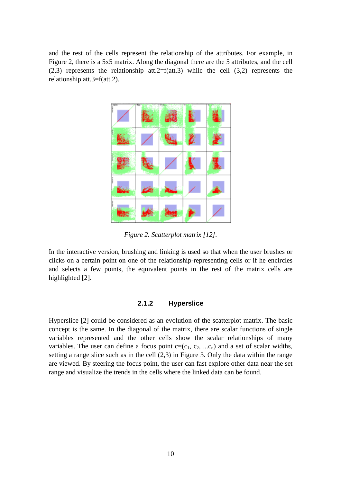and the rest of the cells represent the relationship of the attributes. For example, in Figure 2, there is a 5x5 matrix. Along the diagonal there are the 5 attributes, and the cell (2,3) represents the relationship att.2=f(att.3) while the cell (3,2) represents the relationship att.3=f(att.2).



*Figure 2. Scatterplot matrix [12].*

In the interactive version, brushing and linking is used so that when the user brushes or clicks on a certain point on one of the relationship-representing cells or if he encircles and selects a few points, the equivalent points in the rest of the matrix cells are highlighted [2].

#### **2.1.2 Hyperslice**

Hyperslice [2] could be considered as an evolution of the scatterplot matrix. The basic concept is the same. In the diagonal of the matrix, there are scalar functions of single variables represented and the other cells show the scalar relationships of many variables. The user can define a focus point  $c=(c_1, c_2, ... c_n)$  and a set of scalar widths, setting a range slice such as in the cell (2,3) in Figure 3. Only the data within the range are viewed. By steering the focus point, the user can fast explore other data near the set range and visualize the trends in the cells where the linked data can be found.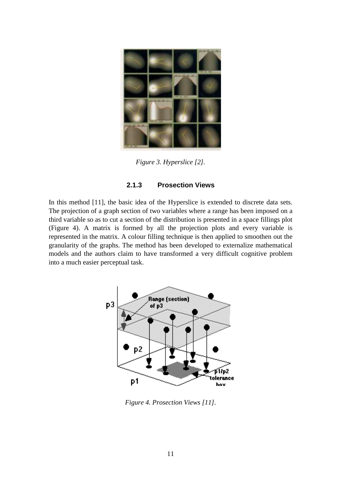

*Figure 3. Hyperslice [2].*

#### **2.1.3 Prosection Views**

In this method [11], the basic idea of the Hyperslice is extended to discrete data sets. The projection of a graph section of two variables where a range has been imposed on a third variable so as to cut a section of the distribution is presented in a space fillings plot (Figure 4). A matrix is formed by all the projection plots and every variable is represented in the matrix. A colour filling technique is then applied to smoothen out the granularity of the graphs. The method has been developed to externalize mathematical models and the authors claim to have transformed a very difficult cognitive problem into a much easier perceptual task.



*Figure 4. Prosection Views [11].*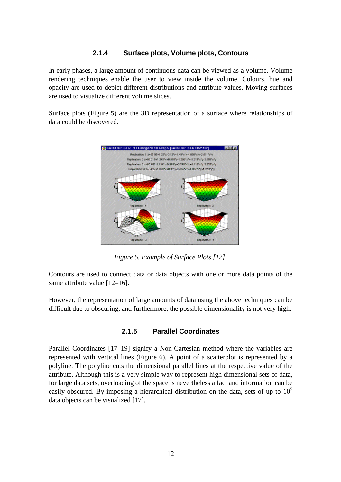#### **2.1.4 Surface plots, Volume plots, Contours**

In early phases, a large amount of continuous data can be viewed as a volume. Volume rendering techniques enable the user to view inside the volume. Colours, hue and opacity are used to depict different distributions and attribute values. Moving surfaces are used to visualize different volume slices.

Surface plots (Figure 5) are the 3D representation of a surface where relationships of data could be discovered.



*Figure 5. Example of Surface Plots [12].*

Contours are used to connect data or data objects with one or more data points of the same attribute value [12–16].

However, the representation of large amounts of data using the above techniques can be difficult due to obscuring, and furthermore, the possible dimensionality is not very high.

#### **2.1.5 Parallel Coordinates**

Parallel Coordinates [17–19] signify a Non-Cartesian method where the variables are represented with vertical lines (Figure 6). A point of a scatterplot is represented by a polyline. The polyline cuts the dimensional parallel lines at the respective value of the attribute. Although this is a very simple way to represent high dimensional sets of data, for large data sets, overloading of the space is nevertheless a fact and information can be easily obscured. By imposing a hierarchical distribution on the data, sets of up to  $10<sup>9</sup>$ data objects can be visualized [17].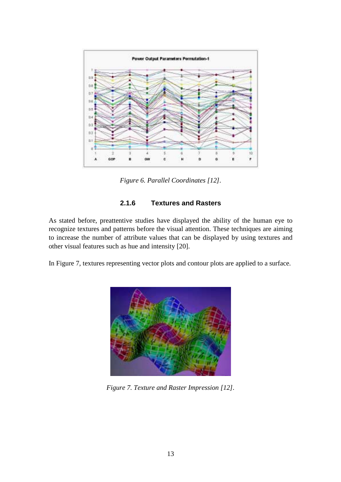

*Figure 6. Parallel Coordinates [12].*

#### **2.1.6 Textures and Rasters**

As stated before, preattentive studies have displayed the ability of the human eye to recognize textures and patterns before the visual attention. These techniques are aiming to increase the number of attribute values that can be displayed by using textures and other visual features such as hue and intensity [20].

In Figure 7, textures representing vector plots and contour plots are applied to a surface.



*Figure 7. Texture and Raster Impression [12].*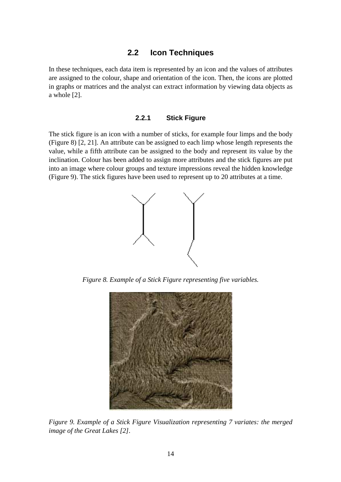#### **2.2 Icon Techniques**

In these techniques, each data item is represented by an icon and the values of attributes are assigned to the colour, shape and orientation of the icon. Then, the icons are plotted in graphs or matrices and the analyst can extract information by viewing data objects as a whole [2].

#### **2.2.1 Stick Figure**

The stick figure is an icon with a number of sticks, for example four limps and the body (Figure 8) [2, 21]. An attribute can be assigned to each limp whose length represents the value, while a fifth attribute can be assigned to the body and represent its value by the inclination. Colour has been added to assign more attributes and the stick figures are put into an image where colour groups and texture impressions reveal the hidden knowledge (Figure 9). The stick figures have been used to represent up to 20 attributes at a time.



*Figure 8. Example of a Stick Figure representing five variables.*



*Figure 9. Example of a Stick Figure Visualization representing 7 variates: the merged image of the Great Lakes [2].*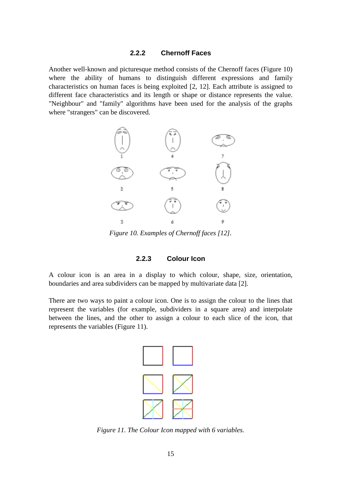#### **2.2.2 Chernoff Faces**

Another well-known and picturesque method consists of the Chernoff faces (Figure 10) where the ability of humans to distinguish different expressions and family characteristics on human faces is being exploited [2, 12]. Each attribute is assigned to different face characteristics and its length or shape or distance represents the value. "Neighbour" and "family" algorithms have been used for the analysis of the graphs where "strangers" can be discovered.



*Figure 10. Examples of Chernoff faces [12].*

#### **2.2.3 Colour Icon**

A colour icon is an area in a display to which colour, shape, size, orientation, boundaries and area subdividers can be mapped by multivariate data [2].

There are two ways to paint a colour icon. One is to assign the colour to the lines that represent the variables (for example, subdividers in a square area) and interpolate between the lines, and the other to assign a colour to each slice of the icon, that represents the variables (Figure 11).



*Figure 11. The Colour Icon mapped with 6 variables.*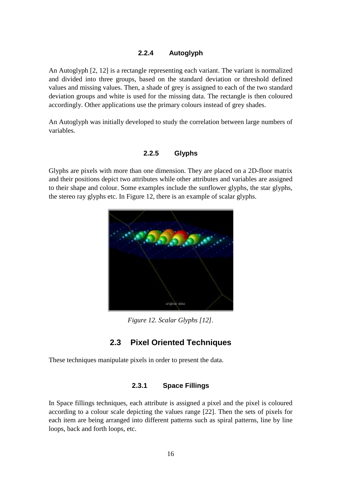#### **2.2.4 Autoglyph**

An Autoglyph [2, 12] is a rectangle representing each variant. The variant is normalized and divided into three groups, based on the standard deviation or threshold defined values and missing values. Then, a shade of grey is assigned to each of the two standard deviation groups and white is used for the missing data. The rectangle is then coloured accordingly. Other applications use the primary colours instead of grey shades.

An Autoglyph was initially developed to study the correlation between large numbers of variables.

#### **2.2.5 Glyphs**

Glyphs are pixels with more than one dimension. They are placed on a 2D-floor matrix and their positions depict two attributes while other attributes and variables are assigned to their shape and colour. Some examples include the sunflower glyphs, the star glyphs, the stereo ray glyphs etc. In Figure 12, there is an example of scalar glyphs.



*Figure 12. Scalar Glyphs [12].*

# **2.3 Pixel Oriented Techniques**

These techniques manipulate pixels in order to present the data.

#### **2.3.1 Space Fillings**

In Space fillings techniques, each attribute is assigned a pixel and the pixel is coloured according to a colour scale depicting the values range [22]. Then the sets of pixels for each item are being arranged into different patterns such as spiral patterns, line by line loops, back and forth loops, etc.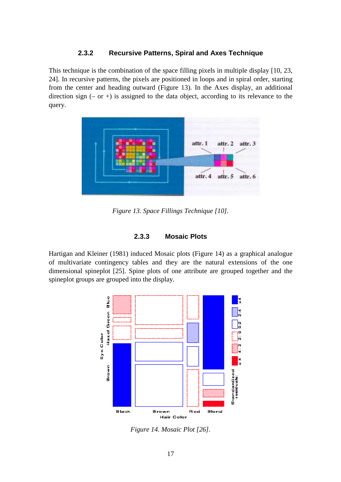#### **2.3.2 Recursive Patterns, Spiral and Axes Technique**

This technique is the combination of the space filling pixels in multiple display [10, 23, 24]. In recursive patterns, the pixels are positioned in loops and in spiral order, starting from the center and heading outward (Figure 13). In the Axes display, an additional direction sign  $(-$  or  $+$ ) is assigned to the data object, according to its relevance to the query.



*Figure 13. Space Fillings Technique [10].*

#### **2.3.3 Mosaic Plots**

Hartigan and Kleiner (1981) induced Mosaic plots (Figure 14) as a graphical analogue of multivariate contingency tables and they are the natural extensions of the one dimensional spineplot [25]. Spine plots of one attribute are grouped together and the spineplot groups are grouped into the display.



*Figure 14. Mosaic Plot [26].*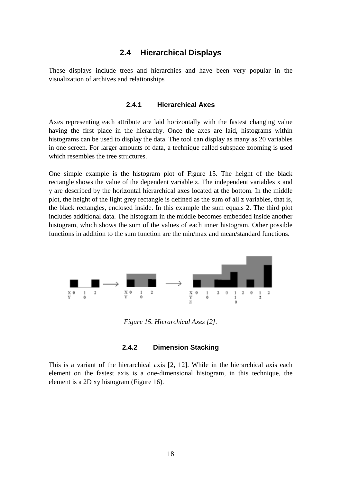### **2.4 Hierarchical Displays**

These displays include trees and hierarchies and have been very popular in the visualization of archives and relationships

#### **2.4.1 Hierarchical Axes**

Axes representing each attribute are laid horizontally with the fastest changing value having the first place in the hierarchy. Once the axes are laid, histograms within histograms can be used to display the data. The tool can display as many as 20 variables in one screen. For larger amounts of data, a technique called subspace zooming is used which resembles the tree structures.

One simple example is the histogram plot of Figure 15. The height of the black rectangle shows the value of the dependent variable z. The independent variables x and y are described by the horizontal hierarchical axes located at the bottom. In the middle plot, the height of the light grey rectangle is defined as the sum of all z variables, that is, the black rectangles, enclosed inside. In this example the sum equals 2. The third plot includes additional data. The histogram in the middle becomes embedded inside another histogram, which shows the sum of the values of each inner histogram. Other possible functions in addition to the sum function are the min/max and mean/standard functions.



*Figure 15. Hierarchical Axes [2].*

#### **2.4.2 Dimension Stacking**

This is a variant of the hierarchical axis [2, 12]. While in the hierarchical axis each element on the fastest axis is a one-dimensional histogram, in this technique, the element is a 2D xy histogram (Figure 16).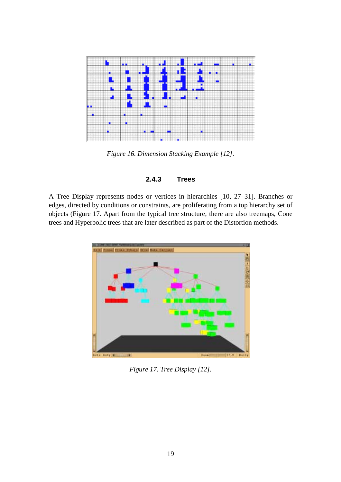

*Figure 16. Dimension Stacking Example [12].*

#### **2.4.3 Trees**

A Tree Display represents nodes or vertices in hierarchies [10, 27–31]. Branches or edges, directed by conditions or constraints, are proliferating from a top hierarchy set of objects (Figure 17. Apart from the typical tree structure, there are also treemaps, Cone trees and Hyperbolic trees that are later described as part of the Distortion methods.



*Figure 17. Tree Display [12].*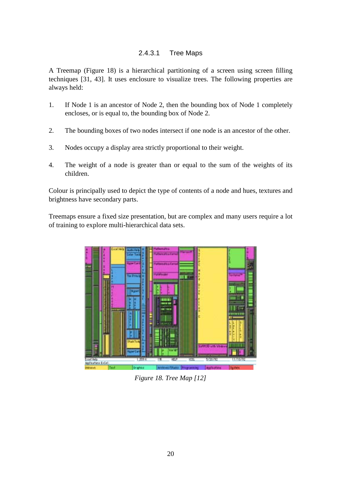#### 2.4.3.1 Tree Maps

A Treemap (Figure 18) is a hierarchical partitioning of a screen using screen filling techniques [31, 43]. It uses enclosure to visualize trees. The following properties are always held:

- 1. If Node 1 is an ancestor of Node 2, then the bounding box of Node 1 completely encloses, or is equal to, the bounding box of Node 2.
- 2. The bounding boxes of two nodes intersect if one node is an ancestor of the other.
- 3. Nodes occupy a display area strictly proportional to their weight.
- 4. The weight of a node is greater than or equal to the sum of the weights of its children.

Colour is principally used to depict the type of contents of a node and hues, textures and brightness have secondary parts.

Treemaps ensure a fixed size presentation, but are complex and many users require a lot of training to explore multi-hierarchical data sets.



*Figure 18. Tree Map [12]*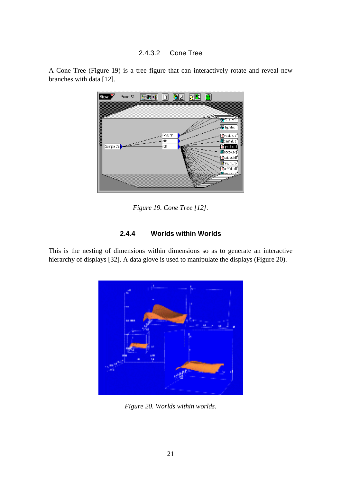#### 2.4.3.2 Cone Tree



A Cone Tree (Figure 19) is a tree figure that can interactively rotate and reveal new branches with data [12].

*Figure 19. Cone Tree [12].*

#### **2.4.4 Worlds within Worlds**

This is the nesting of dimensions within dimensions so as to generate an interactive hierarchy of displays [32]. A data glove is used to manipulate the displays (Figure 20).



*Figure 20. Worlds within worlds.*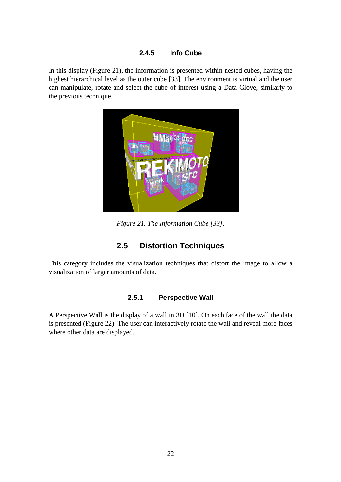#### **2.4.5 Info Cube**

In this display (Figure 21), the information is presented within nested cubes, having the highest hierarchical level as the outer cube [33]. The environment is virtual and the user can manipulate, rotate and select the cube of interest using a Data Glove, similarly to the previous technique.



*Figure 21. The Information Cube [33].*

# **2.5 Distortion Techniques**

This category includes the visualization techniques that distort the image to allow a visualization of larger amounts of data.

#### **2.5.1 Perspective Wall**

A Perspective Wall is the display of a wall in 3D [10]. On each face of the wall the data is presented (Figure 22). The user can interactively rotate the wall and reveal more faces where other data are displayed.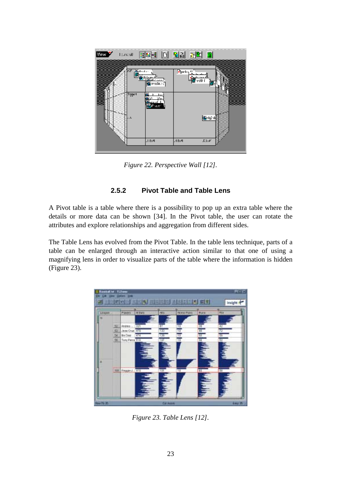

*Figure 22. Perspective Wall [12].*

### **2.5.2 Pivot Table and Table Lens**

A Pivot table is a table where there is a possibility to pop up an extra table where the details or more data can be shown [34]. In the Pivot table, the user can rotate the attributes and explore relationships and aggregation from different sides.

The Table Lens has evolved from the Pivot Table. In the table lens technique, parts of a table can be enlarged through an interactive action similar to that one of using a magnifying lens in order to visualize parts of the table where the information is hidden (Figure 23).



*Figure 23. Table Lens [12].*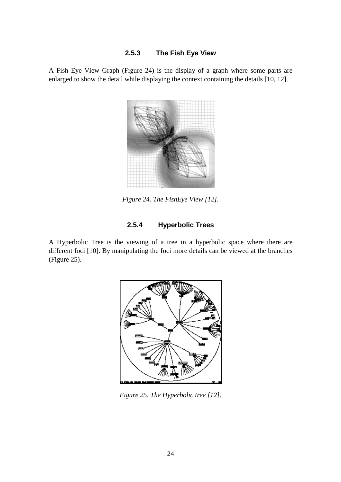#### **2.5.3 The Fish Eye View**

A Fish Eye View Graph (Figure 24) is the display of a graph where some parts are enlarged to show the detail while displaying the context containing the details [10, 12].



*Figure 24. The FishEye View [12].*

### **2.5.4 Hyperbolic Trees**

A Hyperbolic Tree is the viewing of a tree in a hyperbolic space where there are different foci [10]. By manipulating the foci more details can be viewed at the branches (Figure 25).



*Figure 25. The Hyperbolic tree [12].*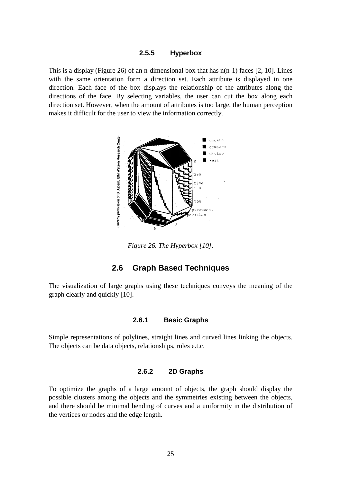#### **2.5.5 Hyperbox**

This is a display (Figure 26) of an n-dimensional box that has  $n(n-1)$  faces [2, 10]. Lines with the same orientation form a direction set. Each attribute is displayed in one direction. Each face of the box displays the relationship of the attributes along the directions of the face. By selecting variables, the user can cut the box along each direction set. However, when the amount of attributes is too large, the human perception makes it difficult for the user to view the information correctly.



*Figure 26. The Hyperbox [10].*

#### **2.6 Graph Based Techniques**

The visualization of large graphs using these techniques conveys the meaning of the graph clearly and quickly [10].

#### **2.6.1 Basic Graphs**

Simple representations of polylines, straight lines and curved lines linking the objects. The objects can be data objects, relationships, rules e.t.c.

#### **2.6.2 2D Graphs**

To optimize the graphs of a large amount of objects, the graph should display the possible clusters among the objects and the symmetries existing between the objects, and there should be minimal bending of curves and a uniformity in the distribution of the vertices or nodes and the edge length.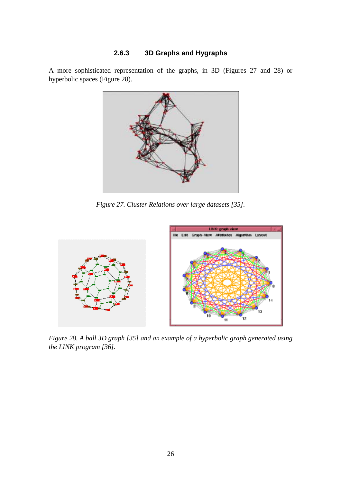### **2.6.3 3D Graphs and Hygraphs**

A more sophisticated representation of the graphs, in 3D (Figures 27 and 28) or hyperbolic spaces (Figure 28).



*Figure 27. Cluster Relations over large datasets [35].*



*Figure 28. A ball 3D graph [35] and an example of a hyperbolic graph generated using the LINK program [36].*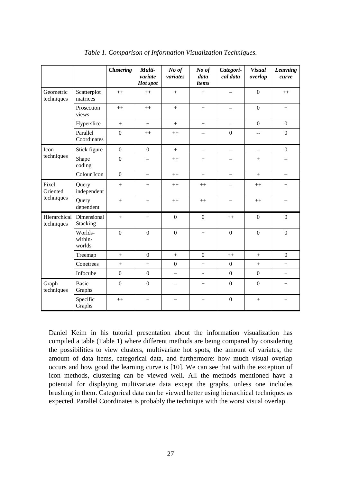|                            |                              | <b>Clustering</b> | Multi-<br>variate<br>Hot spot | No of<br>variates        | No of<br>data<br>items   | Categori-<br>cal data    | <b>Visual</b><br>overlap | <b>Learning</b><br>curve |
|----------------------------|------------------------------|-------------------|-------------------------------|--------------------------|--------------------------|--------------------------|--------------------------|--------------------------|
| Geometric<br>techniques    | Scatterplot<br>matrices      | $++$              | $++$                          | $^{+}$                   | $+$                      | $\overline{\phantom{0}}$ | $\boldsymbol{0}$         | $++$                     |
|                            | Prosection<br>views          | $++$              | $++$                          | $+$                      | $^{+}$                   | $\overline{\phantom{0}}$ | $\overline{0}$           | $+$                      |
|                            | Hyperslice                   | $+$               | $+$                           | $+$                      | $+$                      |                          | $\mathbf{0}$             | $\boldsymbol{0}$         |
|                            | Parallel<br>Coordinates      | $\overline{0}$    | $++$                          | $++$                     | $\overline{\phantom{0}}$ | $\mathbf{0}$             | $-$                      | $\boldsymbol{0}$         |
| Icon                       | Stick figure                 | $\mathbf{0}$      | $\boldsymbol{0}$              | $+$                      | $\overline{\phantom{0}}$ | $\overline{\phantom{0}}$ |                          | $\boldsymbol{0}$         |
| techniques                 | Shape<br>coding              | $\boldsymbol{0}$  | ۳                             | $++$                     | $+$                      | $\overline{\phantom{0}}$ | $+$                      |                          |
|                            | Colour Icon                  | $\mathbf{0}$      | $\overline{\phantom{0}}$      | $++$                     | $+$                      | $\qquad \qquad -$        | $+$                      | $\qquad \qquad -$        |
| Pixel<br>Oriented          | Query<br>independent         | $+$               | $+$                           | $++$                     | $++$                     | $\overline{\phantom{0}}$ | $++$                     | $^{+}$                   |
| techniques                 | Query<br>dependent           | $\ddot{}$         | $+$                           | $++$                     | $++$                     | $\overline{\phantom{0}}$ | $++$                     |                          |
| Hierarchical<br>techniques | Dimensional<br>Stacking      | $+$               | $^{+}$                        | $\mathbf{0}$             | $\boldsymbol{0}$         | $++$                     | $\boldsymbol{0}$         | $\boldsymbol{0}$         |
|                            | Worlds-<br>within-<br>worlds | $\overline{0}$    | $\overline{0}$                | $\mathbf{0}$             | $+$                      | $\overline{0}$           | $\overline{0}$           | $\overline{0}$           |
|                            | Treemap                      | $+$               | $\boldsymbol{0}$              | $+$                      | $\boldsymbol{0}$         | $++$                     | $+$                      | $\boldsymbol{0}$         |
|                            | Conetrees                    | $+$               | $+$                           | $\boldsymbol{0}$         | $+$                      | $\boldsymbol{0}$         | $+$                      | $+$                      |
|                            | Infocube                     | $\boldsymbol{0}$  | $\boldsymbol{0}$              | $\qquad \qquad -$        | $\blacksquare$           | $\mathbf{0}$             | $\mathbf{0}$             | $\boldsymbol{+}$         |
| Graph<br>techniques        | <b>Basic</b><br>Graphs       | $\mathbf{0}$      | $\boldsymbol{0}$              | $\overline{\phantom{0}}$ | $^{+}$                   | $\mathbf{0}$             | $\boldsymbol{0}$         | $+$                      |
|                            | Specific<br>Graphs           | $^{++}$           | $^{+}$                        |                          | $^{+}$                   | $\mathbf{0}$             | $+$                      | $^{+}$                   |

*Table 1. Comparison of Information Visualization Techniques.*

Daniel Keim in his tutorial presentation about the information visualization has compiled a table (Table 1) where different methods are being compared by considering the possibilities to view clusters, multivariate hot spots, the amount of variates, the amount of data items, categorical data, and furthermore: how much visual overlap occurs and how good the learning curve is [10]. We can see that with the exception of icon methods, clustering can be viewed well. All the methods mentioned have a potential for displaying multivariate data except the graphs, unless one includes brushing in them. Categorical data can be viewed better using hierarchical techniques as expected. Parallel Coordinates is probably the technique with the worst visual overlap.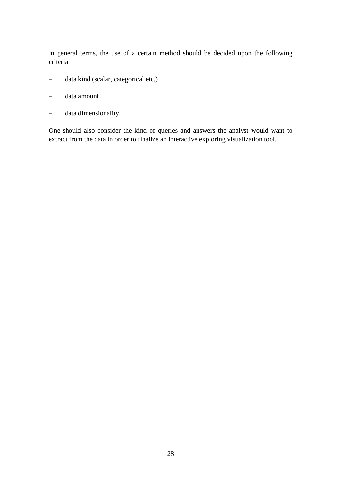In general terms, the use of a certain method should be decided upon the following criteria:

- data kind (scalar, categorical etc.)
- data amount
- data dimensionality.

One should also consider the kind of queries and answers the analyst would want to extract from the data in order to finalize an interactive exploring visualization tool.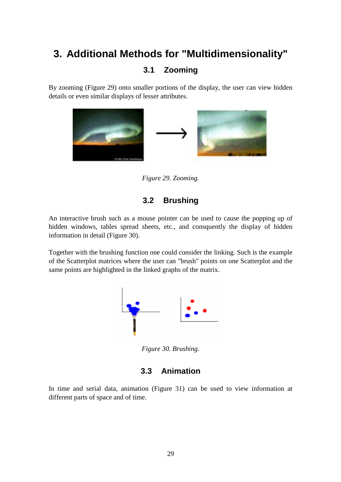# **3. Additional Methods for "Multidimensionality"**

# **3.1 Zooming**

By zooming (Figure 29) onto smaller portions of the display, the user can view hidden details or even similar displays of lesser attributes.



*Figure 29. Zooming.*

# **3.2 Brushing**

An interactive brush such as a mouse pointer can be used to cause the popping up of hidden windows, tables spread sheets, etc., and consquently the display of hidden information in detail (Figure 30).

Together with the brushing function one could consider the linking. Such is the example of the Scatterplot matrices where the user can "brush" points on one Scatterplot and the same points are highlighted in the linked graphs of the matrix.



*Figure 30. Brushing.*

### **3.3 Animation**

In time and serial data, animation (Figure 31) can be used to view information at different parts of space and of time.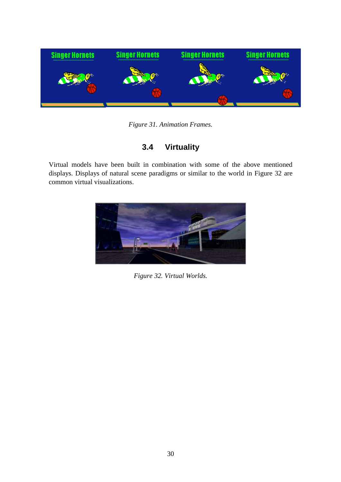

#### *Figure 31. Animation Frames.*

# **3.4 Virtuality**

Virtual models have been built in combination with some of the above mentioned displays. Displays of natural scene paradigms or similar to the world in Figure 32 are common virtual visualizations.



*Figure 32. Virtual Worlds.*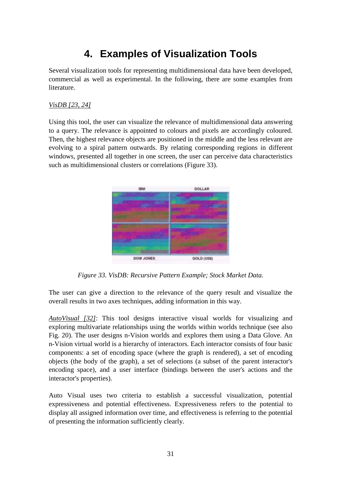# **4. Examples of Visualization Tools**

Several visualization tools for representing multidimensional data have been developed, commercial as well as experimental. In the following, there are some examples from literature.

#### *VisDB [23, 24]*

Using this tool, the user can visualize the relevance of multidimensional data answering to a query. The relevance is appointed to colours and pixels are accordingly coloured. Then, the highest relevance objects are positioned in the middle and the less relevant are evolving to a spiral pattern outwards. By relating corresponding regions in different windows, presented all together in one screen, the user can perceive data characteristics such as multidimensional clusters or correlations (Figure 33).



*Figure 33. VisDB: Recursive Pattern Example; Stock Market Data.*

The user can give a direction to the relevance of the query result and visualize the overall results in two axes techniques, adding information in this way.

*AutoVisual [32]*: This tool designs interactive visual worlds for visualizing and exploring multivariate relationships using the worlds within worlds technique (see also Fig. 20). The user designs n-Vision worlds and explores them using a Data Glove. An n-Vision virtual world is a hierarchy of interactors. Each interactor consists of four basic components: a set of encoding space (where the graph is rendered), a set of encoding objects (the body of the graph), a set of selections (a subset of the parent interactor's encoding space), and a user interface (bindings between the user's actions and the interactor's properties).

Auto Visual uses two criteria to establish a successful visualization, potential expressiveness and potential effectiveness. Expressiveness refers to the potential to display all assigned information over time, and effectiveness is referring to the potential of presenting the information sufficiently clearly.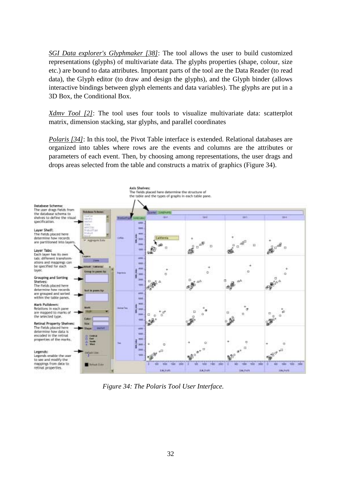*SGI Data explorer's Glyphmaker [38]*: The tool allows the user to build customized representations (glyphs) of multivariate data. The glyphs properties (shape, colour, size etc.) are bound to data attributes. Important parts of the tool are the Data Reader (to read data), the Glyph editor (to draw and design the glyphs), and the Glyph binder (allows interactive bindings between glyph elements and data variables). The glyphs are put in a 3D Box, the Conditional Box.

*Xdmv Tool [2]*: The tool uses four tools to visualize multivariate data: scatterplot matrix, dimension stacking, star glyphs, and parallel coordinates

*Polaris [34]*: In this tool, the Pivot Table interface is extended. Relational databases are organized into tables where rows are the events and columns are the attributes or parameters of each event. Then, by choosing among representations, the user drags and drops areas selected from the table and constructs a matrix of graphics (Figure 34).



*Figure 34: The Polaris Tool User Interface.*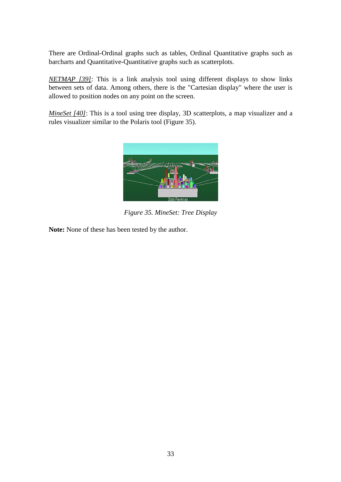There are Ordinal-Ordinal graphs such as tables, Ordinal Quantitative graphs such as barcharts and Quantitative-Quantitative graphs such as scatterplots.

*NETMAP [39]*: This is a link analysis tool using different displays to show links between sets of data. Among others, there is the "Cartesian display" where the user is allowed to position nodes on any point on the screen.

*MineSet [40]*: This is a tool using tree display, 3D scatterplots, a map visualizer and a rules visualizer similar to the Polaris tool (Figure 35).



*Figure 35. MineSet: Tree Display*

**Note:** None of these has been tested by the author.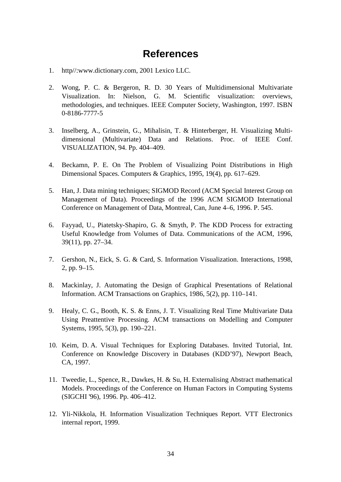# **References**

- 1. http//:www.dictionary.com, 2001 Lexico LLC.
- 2. Wong, P. C. & Bergeron, R. D. 30 Years of Multidimensional Multivariate Visualization. In: Nielson, G. M. Scientific visualization: overviews, methodologies, and techniques. IEEE Computer Society, Washington, 1997. ISBN 0-8186-7777-5
- 3. Inselberg, A., Grinstein, G., Mihalisin, T. & Hinterberger, H. Visualizing Multidimensional (Multivariate) Data and Relations. Proc. of IEEE Conf. VISUALIZATION, 94. Pp. 404–409.
- 4. Beckamn, P. E. On The Problem of Visualizing Point Distributions in High Dimensional Spaces. Computers & Graphics, 1995, 19(4), pp. 617–629.
- 5. Han, J. Data mining techniques; SIGMOD Record (ACM Special Interest Group on Management of Data). Proceedings of the 1996 ACM SIGMOD International Conference on Management of Data, Montreal, Can, June 4–6, 1996. P. 545.
- 6. Fayyad, U., Piatetsky-Shapiro, G. & Smyth, P. The KDD Process for extracting Useful Knowledge from Volumes of Data. Communications of the ACM, 1996, 39(11), pp. 27–34.
- 7. Gershon, N., Eick, S. G. & Card, S. Information Visualization. Interactions, 1998, 2, pp. 9–15.
- 8. Mackinlay, J. Automating the Design of Graphical Presentations of Relational Information. ACM Transactions on Graphics, 1986, 5(2), pp. 110–141.
- 9. Healy, C. G., Booth, K. S. & Enns, J. T. Visualizing Real Time Multivariate Data Using Preattentive Processing. ACM transactions on Modelling and Computer Systems, 1995, 5(3), pp. 190–221.
- 10. Keim, D. A. Visual Techniques for Exploring Databases. Invited Tutorial, Int. Conference on Knowledge Discovery in Databases (KDD'97), Newport Beach, CA, 1997.
- 11. Tweedie, L., Spence, R., Dawkes, H. & Su, H. Externalising Abstract mathematical Models. Proceedings of the Conference on Human Factors in Computing Systems (SIGCHI '96), 1996. Pp. 406–412.
- 12. Yli-Nikkola, H. Information Visualization Techniques Report. VTT Electronics internal report, 1999.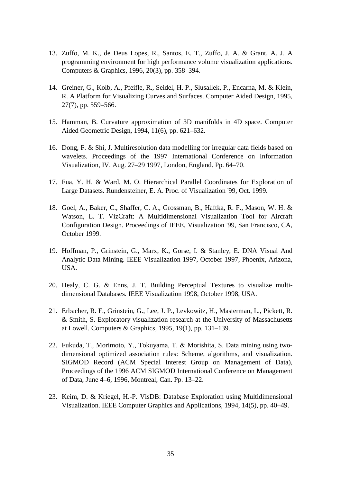- 13. Zuffo, M. K., de Deus Lopes, R., Santos, E. T., Zuffo, J. A. & Grant, A. J. A programming environment for high performance volume visualization applications. Computers & Graphics, 1996, 20(3), pp. 358–394.
- 14. Greiner, G., Kolb, A., Pfeifle, R., Seidel, H. P., Slusallek, P., Encarna, M. & Klein, R. A Platform for Visualizing Curves and Surfaces. Computer Aided Design, 1995, 27(7), pp. 559–566.
- 15. Hamman, B. Curvature approximation of 3D manifolds in 4D space. Computer Aided Geometric Design, 1994, 11(6), pp. 621–632.
- 16. Dong, F. & Shi, J. Multiresolution data modelling for irregular data fields based on wavelets. Proceedings of the 1997 International Conference on Information Visualization, IV, Aug. 27–29 1997, London, England. Pp. 64–70.
- 17. Fua, Y. H. & Ward, M. O. Hierarchical Parallel Coordinates for Exploration of Large Datasets. Rundensteiner, E. A. Proc. of Visualization '99, Oct. 1999.
- 18. Goel, A., Baker, C., Shaffer, C. A., Grossman, B., Haftka, R. F., Mason, W. H. & Watson, L. T. VizCraft: A Multidimensional Visualization Tool for Aircraft Configuration Design. Proceedings of IEEE, Visualization '99, San Francisco, CA, October 1999.
- 19. Hoffman, P., Grinstein, G., Marx, K., Gorse, I. & Stanley, E. DNA Visual And Analytic Data Mining. IEEE Visualization 1997, October 1997, Phoenix, Arizona, USA.
- 20. Healy, C. G. & Enns, J. T. Building Perceptual Textures to visualize multidimensional Databases. IEEE Visualization 1998, October 1998, USA.
- 21. Erbacher, R. F., Grinstein, G., Lee, J. P., Levkowitz, H., Masterman, L., Pickett, R. & Smith, S. Exploratory visualization research at the University of Massachusetts at Lowell. Computers & Graphics, 1995, 19(1), pp. 131–139.
- 22. Fukuda, T., Morimoto, Y., Tokuyama, T. & Morishita, S. Data mining using twodimensional optimized association rules: Scheme, algorithms, and visualization. SIGMOD Record (ACM Special Interest Group on Management of Data), Proceedings of the 1996 ACM SIGMOD International Conference on Management of Data, June 4–6, 1996, Montreal, Can. Pp. 13–22.
- 23. Keim, D. & Kriegel, H.-P. VisDB: Database Exploration using Multidimensional Visualization. IEEE Computer Graphics and Applications, 1994, 14(5), pp. 40–49.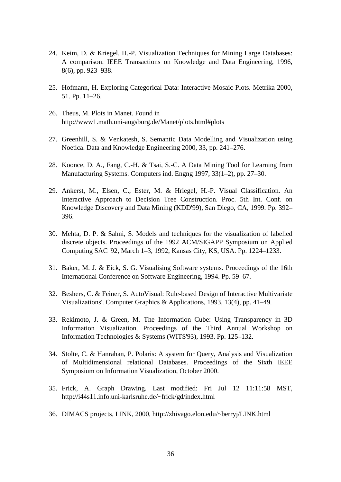- 24. Keim, D. & Kriegel, H.-P. Visualization Techniques for Mining Large Databases: A comparison. IEEE Transactions on Knowledge and Data Engineering, 1996, 8(6), pp. 923–938.
- 25. Hofmann, H. Exploring Categorical Data: Interactive Mosaic Plots. Metrika 2000, 51. Pp. 11–26.
- 26. Theus, M. Plots in Manet. Found in http://www1.math.uni-augsburg.de/Manet/plots.html#plots
- 27. Greenhill, S. & Venkatesh, S. Semantic Data Modelling and Visualization using Noetica. Data and Knowledge Engineering 2000, 33, pp. 241–276.
- 28. Koonce, D. A., Fang, C.-H. & Tsai, S.-C. A Data Mining Tool for Learning from Manufacturing Systems. Computers ind. Engng 1997, 33(1–2), pp. 27–30.
- 29. Ankerst, M., Elsen, C., Ester, M. & Hriegel, H.-P. Visual Classification. An Interactive Approach to Decision Tree Construction. Proc. 5th Int. Conf. on Knowledge Discovery and Data Mining (KDD'99), San Diego, CA, 1999. Pp. 392– 396.
- 30. Mehta, D. P. & Sahni, S. Models and techniques for the visualization of labelled discrete objects. Proceedings of the 1992 ACM/SIGAPP Symposium on Applied Computing SAC '92, March 1–3, 1992, Kansas City, KS, USA. Pp. 1224–1233.
- 31. Baker, M. J. & Eick, S. G. Visualising Software systems. Proceedings of the 16th International Conference on Software Engineering, 1994. Pp. 59–67.
- 32. Beshers, C. & Feiner, S. AutoVisual: Rule-based Design of Interactive Multivariate Visualizations'. Computer Graphics & Applications, 1993, 13(4), pp. 41–49.
- 33. Rekimoto, J. & Green, M. The Information Cube: Using Transparency in 3D Information Visualization. Proceedings of the Third Annual Workshop on Information Technologies & Systems (WITS'93), 1993. Pp. 125–132.
- 34. Stolte, C. & Hanrahan, P. Polaris: A system for Query, Analysis and Visualization of Multidimensional relational Databases. Proceedings of the Sixth IEEE Symposium on Information Visualization, October 2000.
- 35. Frick, A. Graph Drawing. Last modified: Fri Jul 12 11:11:58 MST, http://i44s11.info.uni-karlsruhe.de/~frick/gd/index.html
- 36. DIMACS projects, LINK, 2000, http://zhivago.elon.edu/~berryj/LINK.html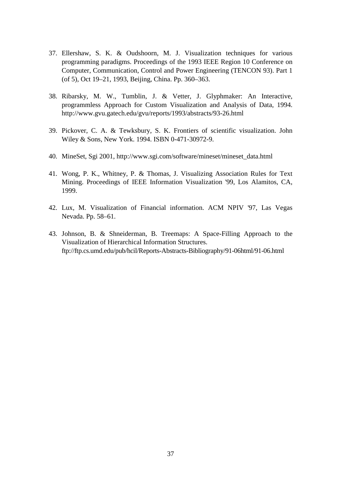- 37. Ellershaw, S. K. & Oudshoorn, M. J. Visualization techniques for various programming paradigms. Proceedings of the 1993 IEEE Region 10 Conference on Computer, Communication, Control and Power Engineering (TENCON 93). Part 1 (of 5), Oct 19–21, 1993, Beijing, China. Pp. 360–363.
- 38. Ribarsky, M. W., Tumblin, J. & Vetter, J. Glyphmaker: An Interactive, programmless Approach for Custom Visualization and Analysis of Data, 1994. http://www.gvu.gatech.edu/gvu/reports/1993/abstracts/93-26.html
- 39. Pickover, C. A. & Tewksbury, S. K. Frontiers of scientific visualization. John Wiley & Sons, New York. 1994. ISBN 0-471-30972-9.
- 40. MineSet, Sgi 2001, http://www.sgi.com/software/mineset/mineset\_data.html
- 41. Wong, P. K., Whitney, P. & Thomas, J. Visualizing Association Rules for Text Mining. Proceedings of IEEE Information Visualization '99, Los Alamitos, CA, 1999.
- 42. Lux, M. Visualization of Financial information. ACM NPIV '97, Las Vegas Nevada. Pp. 58–61.
- 43. Johnson, B. & Shneiderman, B. Treemaps: A Space-Filling Approach to the Visualization of Hierarchical Information Structures. ftp://ftp.cs.umd.edu/pub/hcil/Reports-Abstracts-Bibliography/91-06html/91-06.html